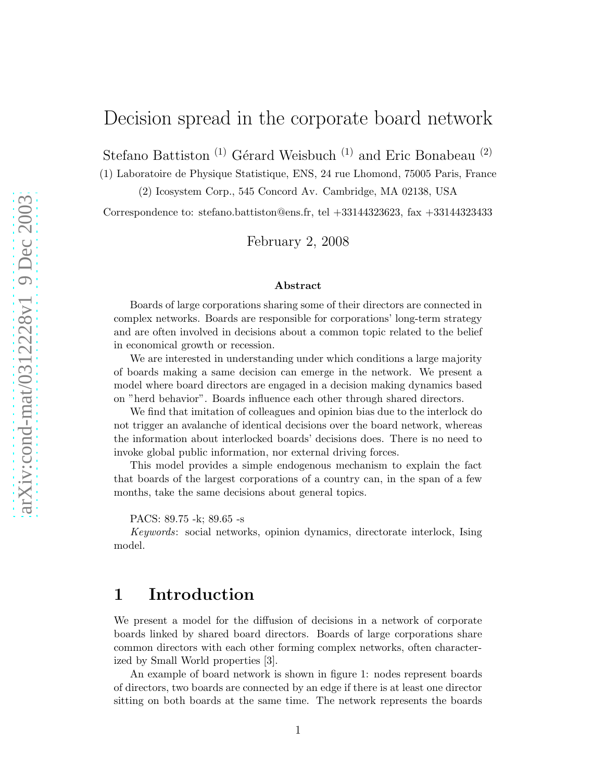## Decision spread in the corporate board network

Stefano Battiston<sup>(1)</sup> Gérard Weisbuch<sup>(1)</sup> and Eric Bonabeau<sup>(2)</sup>

(1) Laboratoire de Physique Statistique, ENS, 24 rue Lhomond, 75005 Paris, France

(2) Icosystem Corp., 545 Concord Av. Cambridge, MA 02138, USA

Correspondence to: stefano.battiston@ens.fr, tel +33144323623, fax +33144323433

February 2, 2008

#### Abstract

Boards of large corporations sharing some of their directors are connected in complex networks. Boards are responsible for corporations' long-term strategy and are often involved in decisions about a common topic related to the belief in economical growth or recession.

We are interested in understanding under which conditions a large majority of boards making a same decision can emerge in the network. We present a model where board directors are engaged in a decision making dynamics based on "herd behavior". Boards influence each other through shared directors.

We find that imitation of colleagues and opinion bias due to the interlock do not trigger an avalanche of identical decisions over the board network, whereas the information about interlocked boards' decisions does. There is no need to invoke global public information, nor external driving forces.

This model provides a simple endogenous mechanism to explain the fact that boards of the largest corporations of a country can, in the span of a few months, take the same decisions about general topics.

PACS: 89.75 -k; 89.65 -s

Keywords: social networks, opinion dynamics, directorate interlock, Ising model.

## 1 Introduction

We present a model for the diffusion of decisions in a network of corporate boards linked by shared board directors. Boards of large corporations share common directors with each other forming complex networks, often characterized by Small World properties [3].

An example of board network is shown in figure 1: nodes represent boards of directors, two boards are connected by an edge if there is at least one director sitting on both boards at the same time. The network represents the boards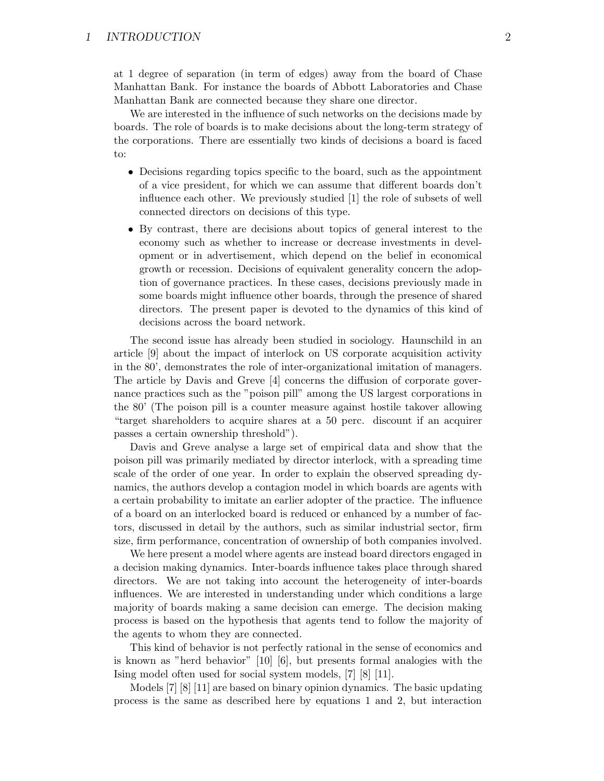at 1 degree of separation (in term of edges) away from the board of Chase Manhattan Bank. For instance the boards of Abbott Laboratories and Chase Manhattan Bank are connected because they share one director.

We are interested in the influence of such networks on the decisions made by boards. The role of boards is to make decisions about the long-term strategy of the corporations. There are essentially two kinds of decisions a board is faced to:

- Decisions regarding topics specific to the board, such as the appointment of a vice president, for which we can assume that different boards don't influence each other. We previously studied [1] the role of subsets of well connected directors on decisions of this type.
- By contrast, there are decisions about topics of general interest to the economy such as whether to increase or decrease investments in development or in advertisement, which depend on the belief in economical growth or recession. Decisions of equivalent generality concern the adoption of governance practices. In these cases, decisions previously made in some boards might influence other boards, through the presence of shared directors. The present paper is devoted to the dynamics of this kind of decisions across the board network.

The second issue has already been studied in sociology. Haunschild in an article [9] about the impact of interlock on US corporate acquisition activity in the 80', demonstrates the role of inter-organizational imitation of managers. The article by Davis and Greve [4] concerns the diffusion of corporate governance practices such as the "poison pill" among the US largest corporations in the 80' (The poison pill is a counter measure against hostile takover allowing "target shareholders to acquire shares at a 50 perc. discount if an acquirer passes a certain ownership threshold").

Davis and Greve analyse a large set of empirical data and show that the poison pill was primarily mediated by director interlock, with a spreading time scale of the order of one year. In order to explain the observed spreading dynamics, the authors develop a contagion model in which boards are agents with a certain probability to imitate an earlier adopter of the practice. The influence of a board on an interlocked board is reduced or enhanced by a number of factors, discussed in detail by the authors, such as similar industrial sector, firm size, firm performance, concentration of ownership of both companies involved.

We here present a model where agents are instead board directors engaged in a decision making dynamics. Inter-boards influence takes place through shared directors. We are not taking into account the heterogeneity of inter-boards influences. We are interested in understanding under which conditions a large majority of boards making a same decision can emerge. The decision making process is based on the hypothesis that agents tend to follow the majority of the agents to whom they are connected.

This kind of behavior is not perfectly rational in the sense of economics and is known as "herd behavior" [10] [6], but presents formal analogies with the Ising model often used for social system models, [7] [8] [11].

Models [7] [8] [11] are based on binary opinion dynamics. The basic updating process is the same as described here by equations 1 and 2, but interaction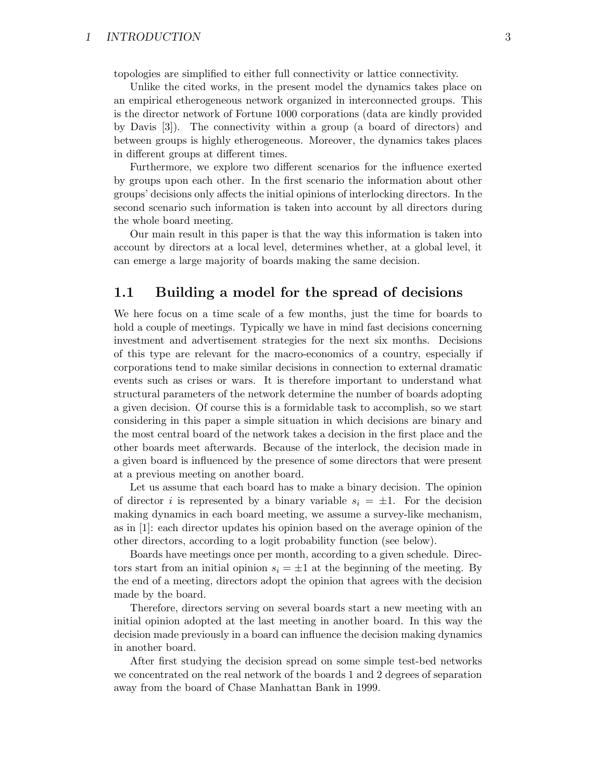topologies are simplified to either full connectivity or lattice connectivity.

Unlike the cited works, in the present model the dynamics takes place on an empirical etherogeneous network organized in interconnected groups. This is the director network of Fortune 1000 corporations (data are kindly provided by Davis [3]). The connectivity within a group (a board of directors) and between groups is highly etherogeneous. Moreover, the dynamics takes places in different groups at different times.

Furthermore, we explore two different scenarios for the influence exerted by groups upon each other. In the first scenario the information about other groups' decisions only affects the initial opinions of interlocking directors. In the second scenario such information is taken into account by all directors during the whole board meeting.

Our main result in this paper is that the way this information is taken into account by directors at a local level, determines whether, at a global level, it can emerge a large majority of boards making the same decision.

### 1.1 Building a model for the spread of decisions

We here focus on a time scale of a few months, just the time for boards to hold a couple of meetings. Typically we have in mind fast decisions concerning investment and advertisement strategies for the next six months. Decisions of this type are relevant for the macro-economics of a country, especially if corporations tend to make similar decisions in connection to external dramatic events such as crises or wars. It is therefore important to understand what structural parameters of the network determine the number of boards adopting a given decision. Of course this is a formidable task to accomplish, so we start considering in this paper a simple situation in which decisions are binary and the most central board of the network takes a decision in the first place and the other boards meet afterwards. Because of the interlock, the decision made in a given board is influenced by the presence of some directors that were present at a previous meeting on another board.

Let us assume that each board has to make a binary decision. The opinion of director i is represented by a binary variable  $s_i = \pm 1$ . For the decision making dynamics in each board meeting, we assume a survey-like mechanism, as in [1]: each director updates his opinion based on the average opinion of the other directors, according to a logit probability function (see below).

Boards have meetings once per month, according to a given schedule. Directors start from an initial opinion  $s_i = \pm 1$  at the beginning of the meeting. By the end of a meeting, directors adopt the opinion that agrees with the decision made by the board.

Therefore, directors serving on several boards start a new meeting with an initial opinion adopted at the last meeting in another board. In this way the decision made previously in a board can influence the decision making dynamics in another board.

After first studying the decision spread on some simple test-bed networks we concentrated on the real network of the boards 1 and 2 degrees of separation away from the board of Chase Manhattan Bank in 1999.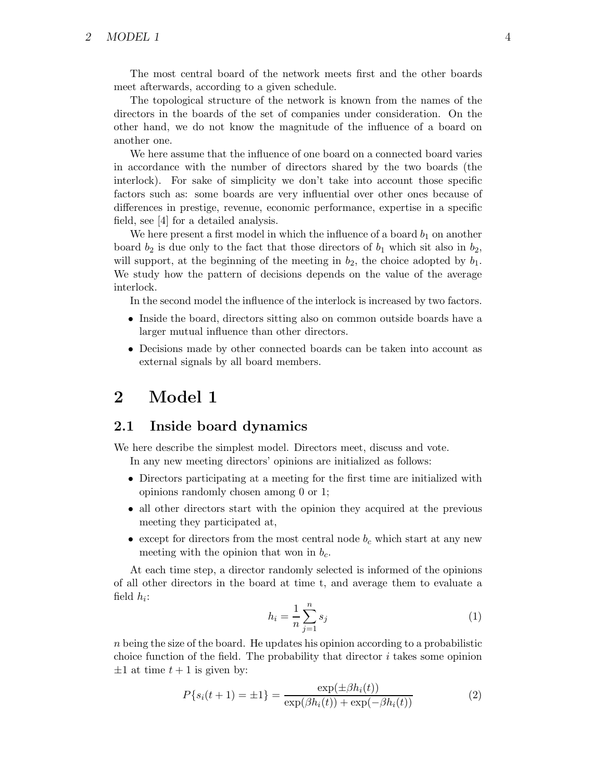The most central board of the network meets first and the other boards meet afterwards, according to a given schedule.

The topological structure of the network is known from the names of the directors in the boards of the set of companies under consideration. On the other hand, we do not know the magnitude of the influence of a board on another one.

We here assume that the influence of one board on a connected board varies in accordance with the number of directors shared by the two boards (the interlock). For sake of simplicity we don't take into account those specific factors such as: some boards are very influential over other ones because of differences in prestige, revenue, economic performance, expertise in a specific field, see [4] for a detailed analysis.

We here present a first model in which the influence of a board  $b_1$  on another board  $b_2$  is due only to the fact that those directors of  $b_1$  which sit also in  $b_2$ , will support, at the beginning of the meeting in  $b_2$ , the choice adopted by  $b_1$ . We study how the pattern of decisions depends on the value of the average interlock.

In the second model the influence of the interlock is increased by two factors.

- Inside the board, directors sitting also on common outside boards have a larger mutual influence than other directors.
- Decisions made by other connected boards can be taken into account as external signals by all board members.

## 2 Model 1

### 2.1 Inside board dynamics

We here describe the simplest model. Directors meet, discuss and vote.

In any new meeting directors' opinions are initialized as follows:

- Directors participating at a meeting for the first time are initialized with opinions randomly chosen among 0 or 1;
- all other directors start with the opinion they acquired at the previous meeting they participated at,
- except for directors from the most central node  $b_c$  which start at any new meeting with the opinion that won in  $b_c$ .

At each time step, a director randomly selected is informed of the opinions of all other directors in the board at time t, and average them to evaluate a field  $h_i$ :

$$
h_i = \frac{1}{n} \sum_{j=1}^{n} s_j \tag{1}
$$

n being the size of the board. He updates his opinion according to a probabilistic choice function of the field. The probability that director  $i$  takes some opinion  $\pm 1$  at time  $t + 1$  is given by:

$$
P\{s_i(t+1) = \pm 1\} = \frac{\exp(\pm \beta h_i(t))}{\exp(\beta h_i(t)) + \exp(-\beta h_i(t))}
$$
(2)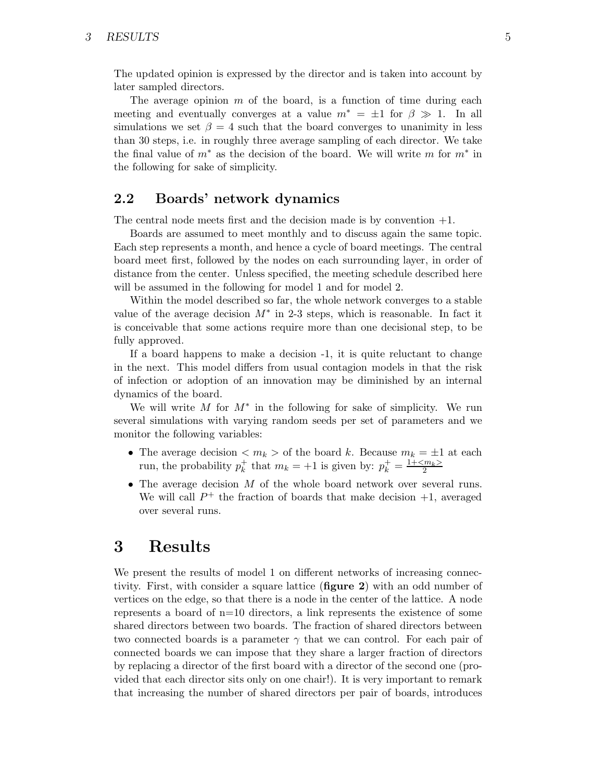The updated opinion is expressed by the director and is taken into account by later sampled directors.

The average opinion  $m$  of the board, is a function of time during each meeting and eventually converges at a value  $m^* = \pm 1$  for  $\beta \gg 1$ . In all simulations we set  $\beta = 4$  such that the board converges to unanimity in less than 30 steps, i.e. in roughly three average sampling of each director. We take the final value of  $m^*$  as the decision of the board. We will write m for  $m^*$  in the following for sake of simplicity.

### 2.2 Boards' network dynamics

The central node meets first and the decision made is by convention  $+1$ .

Boards are assumed to meet monthly and to discuss again the same topic. Each step represents a month, and hence a cycle of board meetings. The central board meet first, followed by the nodes on each surrounding layer, in order of distance from the center. Unless specified, the meeting schedule described here will be assumed in the following for model 1 and for model 2.

Within the model described so far, the whole network converges to a stable value of the average decision  $M^*$  in 2-3 steps, which is reasonable. In fact it is conceivable that some actions require more than one decisional step, to be fully approved.

If a board happens to make a decision -1, it is quite reluctant to change in the next. This model differs from usual contagion models in that the risk of infection or adoption of an innovation may be diminished by an internal dynamics of the board.

We will write  $M$  for  $M^*$  in the following for sake of simplicity. We run several simulations with varying random seeds per set of parameters and we monitor the following variables:

- The average decision  $\langle m_k \rangle$  of the board k. Because  $m_k = \pm 1$  at each run, the probability  $p_k^+$  that  $m_k = +1$  is given by:  $p_k^+ = \frac{1 + \langle m_k \rangle}{2}$ 2
- The average decision  $M$  of the whole board network over several runs. We will call  $P^+$  the fraction of boards that make decision  $+1$ , averaged over several runs.

## 3 Results

We present the results of model 1 on different networks of increasing connectivity. First, with consider a square lattice (figure 2) with an odd number of vertices on the edge, so that there is a node in the center of the lattice. A node represents a board of n=10 directors, a link represents the existence of some shared directors between two boards. The fraction of shared directors between two connected boards is a parameter  $\gamma$  that we can control. For each pair of connected boards we can impose that they share a larger fraction of directors by replacing a director of the first board with a director of the second one (provided that each director sits only on one chair!). It is very important to remark that increasing the number of shared directors per pair of boards, introduces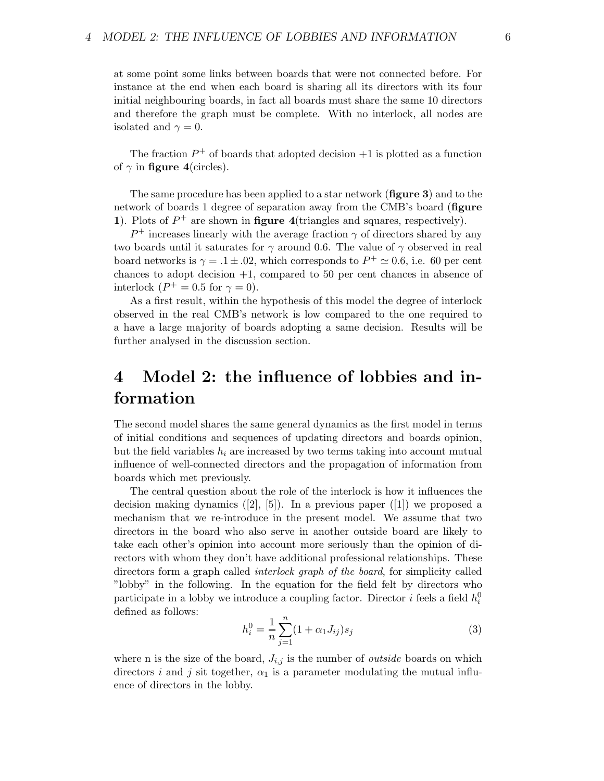at some point some links between boards that were not connected before. For instance at the end when each board is sharing all its directors with its four initial neighbouring boards, in fact all boards must share the same 10 directors and therefore the graph must be complete. With no interlock, all nodes are isolated and  $\gamma = 0$ .

The fraction  $P^+$  of boards that adopted decision  $+1$  is plotted as a function of  $\gamma$  in **figure 4**(circles).

The same procedure has been applied to a star network (figure 3) and to the network of boards 1 degree of separation away from the CMB's board (figure 1). Plots of  $P^+$  are shown in **figure 4**(triangles and squares, respectively).

 $P^+$  increases linearly with the average fraction  $\gamma$  of directors shared by any two boards until it saturates for  $\gamma$  around 0.6. The value of  $\gamma$  observed in real board networks is  $\gamma = .1 \pm .02$ , which corresponds to  $P^+ \simeq 0.6$ , i.e. 60 per cent chances to adopt decision  $+1$ , compared to 50 per cent chances in absence of interlock  $(P^+ = 0.5$  for  $\gamma = 0)$ .

As a first result, within the hypothesis of this model the degree of interlock observed in the real CMB's network is low compared to the one required to a have a large majority of boards adopting a same decision. Results will be further analysed in the discussion section.

# 4 Model 2: the influence of lobbies and information

The second model shares the same general dynamics as the first model in terms of initial conditions and sequences of updating directors and boards opinion, but the field variables  $h_i$  are increased by two terms taking into account mutual influence of well-connected directors and the propagation of information from boards which met previously.

The central question about the role of the interlock is how it influences the decision making dynamics  $([2], [5])$ . In a previous paper  $([1])$  we proposed a mechanism that we re-introduce in the present model. We assume that two directors in the board who also serve in another outside board are likely to take each other's opinion into account more seriously than the opinion of directors with whom they don't have additional professional relationships. These directors form a graph called interlock graph of the board, for simplicity called "lobby" in the following. In the equation for the field felt by directors who participate in a lobby we introduce a coupling factor. Director  $i$  feels a field  $h_i^0$ defined as follows:

$$
h_i^0 = \frac{1}{n} \sum_{j=1}^n (1 + \alpha_1 J_{ij}) s_j \tag{3}
$$

where n is the size of the board,  $J_{i,j}$  is the number of *outside* boards on which directors i and j sit together,  $\alpha_1$  is a parameter modulating the mutual influence of directors in the lobby.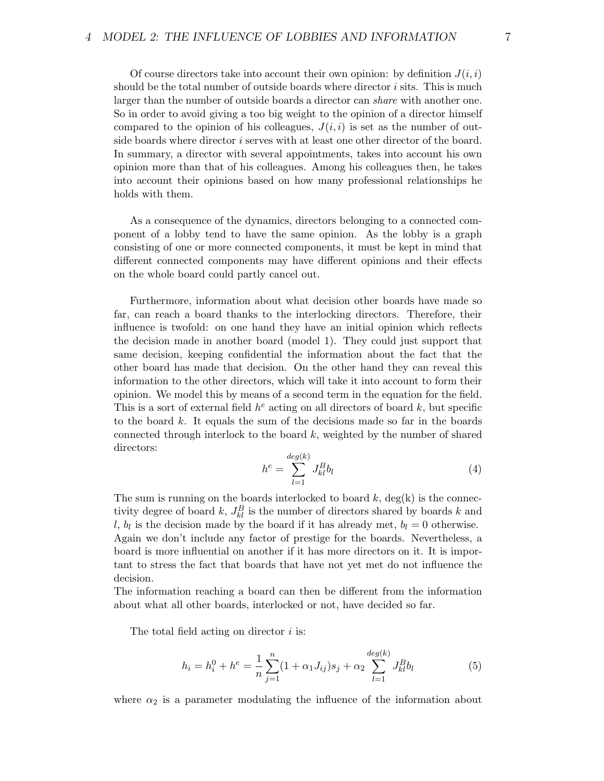Of course directors take into account their own opinion: by definition  $J(i, i)$ should be the total number of outside boards where director  $i$  sits. This is much larger than the number of outside boards a director can share with another one. So in order to avoid giving a too big weight to the opinion of a director himself compared to the opinion of his colleagues,  $J(i, i)$  is set as the number of outside boards where director i serves with at least one other director of the board. In summary, a director with several appointments, takes into account his own opinion more than that of his colleagues. Among his colleagues then, he takes into account their opinions based on how many professional relationships he holds with them.

As a consequence of the dynamics, directors belonging to a connected component of a lobby tend to have the same opinion. As the lobby is a graph consisting of one or more connected components, it must be kept in mind that different connected components may have different opinions and their effects on the whole board could partly cancel out.

Furthermore, information about what decision other boards have made so far, can reach a board thanks to the interlocking directors. Therefore, their influence is twofold: on one hand they have an initial opinion which reflects the decision made in another board (model 1). They could just support that same decision, keeping confidential the information about the fact that the other board has made that decision. On the other hand they can reveal this information to the other directors, which will take it into account to form their opinion. We model this by means of a second term in the equation for the field. This is a sort of external field  $h^e$  acting on all directors of board  $k$ , but specific to the board k. It equals the sum of the decisions made so far in the boards connected through interlock to the board  $k$ , weighted by the number of shared directors:

$$
h^e = \sum_{l=1}^{deg(k)} J_{kl}^B b_l \tag{4}
$$

The sum is running on the boards interlocked to board  $k$ , deg(k) is the connectivity degree of board  $k$ ,  $J_{kl}^B$  is the number of directors shared by boards k and l,  $b_l$  is the decision made by the board if it has already met,  $b_l = 0$  otherwise. Again we don't include any factor of prestige for the boards. Nevertheless, a board is more influential on another if it has more directors on it. It is important to stress the fact that boards that have not yet met do not influence the decision.

The information reaching a board can then be different from the information about what all other boards, interlocked or not, have decided so far.

The total field acting on director i is:

$$
h_i = h_i^0 + h^e = \frac{1}{n} \sum_{j=1}^n (1 + \alpha_1 J_{ij}) s_j + \alpha_2 \sum_{l=1}^{\deg(k)} J_{kl}^B b_l \tag{5}
$$

where  $\alpha_2$  is a parameter modulating the influence of the information about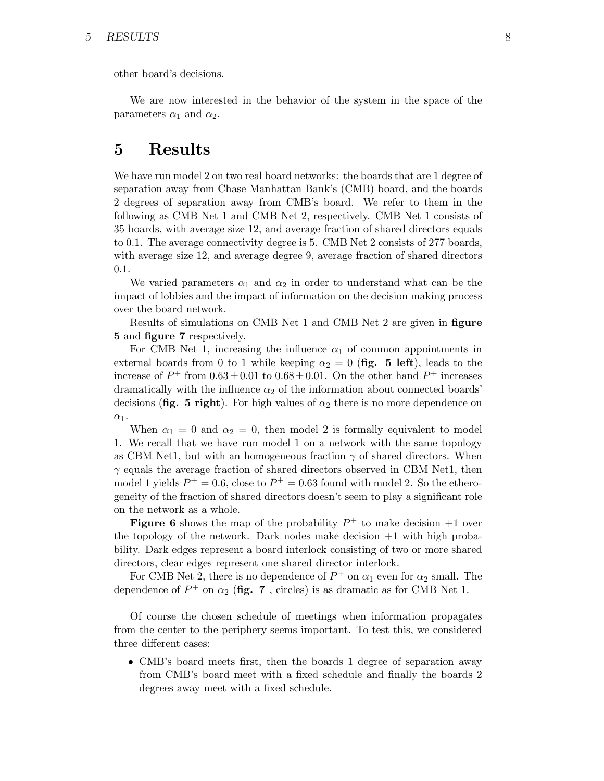other board's decisions.

We are now interested in the behavior of the system in the space of the parameters  $\alpha_1$  and  $\alpha_2$ .

## 5 Results

We have run model 2 on two real board networks: the boards that are 1 degree of separation away from Chase Manhattan Bank's (CMB) board, and the boards 2 degrees of separation away from CMB's board. We refer to them in the following as CMB Net 1 and CMB Net 2, respectively. CMB Net 1 consists of 35 boards, with average size 12, and average fraction of shared directors equals to 0.1. The average connectivity degree is 5. CMB Net 2 consists of 277 boards, with average size 12, and average degree 9, average fraction of shared directors 0.1.

We varied parameters  $\alpha_1$  and  $\alpha_2$  in order to understand what can be the impact of lobbies and the impact of information on the decision making process over the board network.

Results of simulations on CMB Net 1 and CMB Net 2 are given in figure 5 and figure 7 respectively.

For CMB Net 1, increasing the influence  $\alpha_1$  of common appointments in external boards from 0 to 1 while keeping  $\alpha_2 = 0$  (fig. 5 left), leads to the increase of  $P^+$  from  $0.63 \pm 0.01$  to  $0.68 \pm 0.01$ . On the other hand  $P^+$  increases dramatically with the influence  $\alpha_2$  of the information about connected boards' decisions (fig. 5 right). For high values of  $\alpha_2$  there is no more dependence on  $\alpha_1$ .

When  $\alpha_1 = 0$  and  $\alpha_2 = 0$ , then model 2 is formally equivalent to model 1. We recall that we have run model 1 on a network with the same topology as CBM Net1, but with an homogeneous fraction  $\gamma$  of shared directors. When  $\gamma$  equals the average fraction of shared directors observed in CBM Net1, then model 1 yields  $P^+ = 0.6$ , close to  $P^+ = 0.63$  found with model 2. So the etherogeneity of the fraction of shared directors doesn't seem to play a significant role on the network as a whole.

**Figure 6** shows the map of the probability  $P^+$  to make decision  $+1$  over the topology of the network. Dark nodes make decision  $+1$  with high probability. Dark edges represent a board interlock consisting of two or more shared directors, clear edges represent one shared director interlock.

For CMB Net 2, there is no dependence of  $P^+$  on  $\alpha_1$  even for  $\alpha_2$  small. The dependence of  $P^+$  on  $\alpha_2$  (fig. 7, circles) is as dramatic as for CMB Net 1.

Of course the chosen schedule of meetings when information propagates from the center to the periphery seems important. To test this, we considered three different cases:

• CMB's board meets first, then the boards 1 degree of separation away from CMB's board meet with a fixed schedule and finally the boards 2 degrees away meet with a fixed schedule.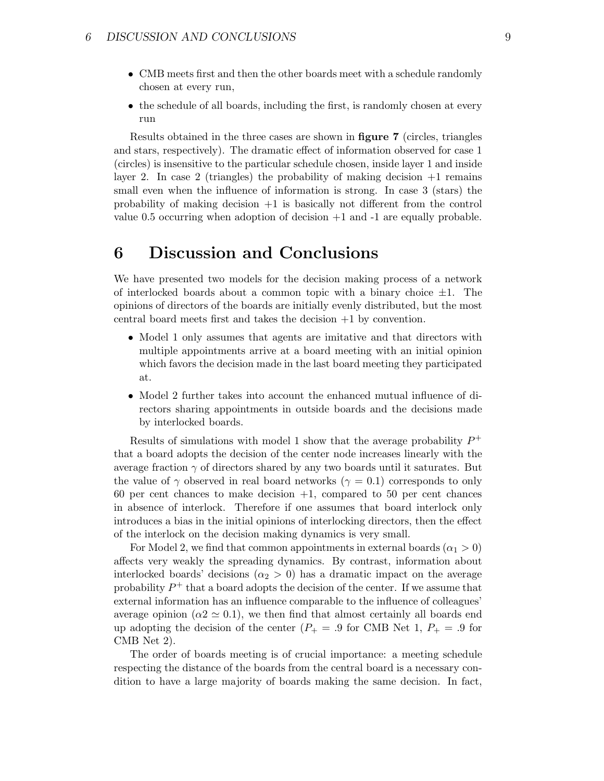- CMB meets first and then the other boards meet with a schedule randomly chosen at every run,
- the schedule of all boards, including the first, is randomly chosen at every run

Results obtained in the three cases are shown in figure 7 (circles, triangles and stars, respectively). The dramatic effect of information observed for case 1 (circles) is insensitive to the particular schedule chosen, inside layer 1 and inside layer 2. In case 2 (triangles) the probability of making decision  $+1$  remains small even when the influence of information is strong. In case 3 (stars) the probability of making decision +1 is basically not different from the control value 0.5 occurring when adoption of decision  $+1$  and  $-1$  are equally probable.

## 6 Discussion and Conclusions

We have presented two models for the decision making process of a network of interlocked boards about a common topic with a binary choice  $\pm 1$ . The opinions of directors of the boards are initially evenly distributed, but the most central board meets first and takes the decision +1 by convention.

- Model 1 only assumes that agents are imitative and that directors with multiple appointments arrive at a board meeting with an initial opinion which favors the decision made in the last board meeting they participated at.
- Model 2 further takes into account the enhanced mutual influence of directors sharing appointments in outside boards and the decisions made by interlocked boards.

Results of simulations with model 1 show that the average probability  $P^+$ that a board adopts the decision of the center node increases linearly with the average fraction  $\gamma$  of directors shared by any two boards until it saturates. But the value of  $\gamma$  observed in real board networks ( $\gamma = 0.1$ ) corresponds to only 60 per cent chances to make decision  $+1$ , compared to 50 per cent chances in absence of interlock. Therefore if one assumes that board interlock only introduces a bias in the initial opinions of interlocking directors, then the effect of the interlock on the decision making dynamics is very small.

For Model 2, we find that common appointments in external boards ( $\alpha_1 > 0$ ) affects very weakly the spreading dynamics. By contrast, information about interlocked boards' decisions  $(\alpha_2 > 0)$  has a dramatic impact on the average probability  $P^+$  that a board adopts the decision of the center. If we assume that external information has an influence comparable to the influence of colleagues' average opinion ( $\alpha$ 2  $\approx$  0.1), we then find that almost certainly all boards end up adopting the decision of the center ( $P_+ = .9$  for CMB Net 1,  $P_+ = .9$  for CMB Net 2).

The order of boards meeting is of crucial importance: a meeting schedule respecting the distance of the boards from the central board is a necessary condition to have a large majority of boards making the same decision. In fact,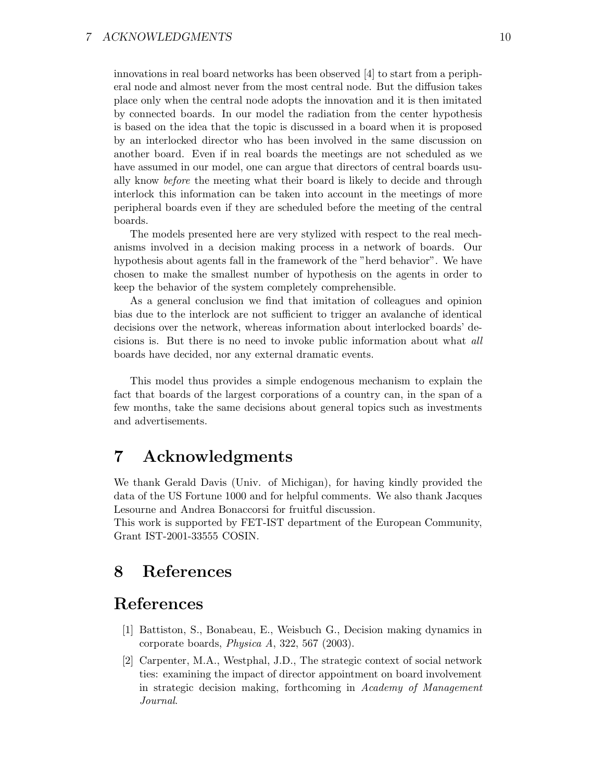innovations in real board networks has been observed [4] to start from a peripheral node and almost never from the most central node. But the diffusion takes place only when the central node adopts the innovation and it is then imitated by connected boards. In our model the radiation from the center hypothesis is based on the idea that the topic is discussed in a board when it is proposed by an interlocked director who has been involved in the same discussion on another board. Even if in real boards the meetings are not scheduled as we have assumed in our model, one can argue that directors of central boards usually know before the meeting what their board is likely to decide and through interlock this information can be taken into account in the meetings of more peripheral boards even if they are scheduled before the meeting of the central boards.

The models presented here are very stylized with respect to the real mechanisms involved in a decision making process in a network of boards. Our hypothesis about agents fall in the framework of the "herd behavior". We have chosen to make the smallest number of hypothesis on the agents in order to keep the behavior of the system completely comprehensible.

As a general conclusion we find that imitation of colleagues and opinion bias due to the interlock are not sufficient to trigger an avalanche of identical decisions over the network, whereas information about interlocked boards' decisions is. But there is no need to invoke public information about what all boards have decided, nor any external dramatic events.

This model thus provides a simple endogenous mechanism to explain the fact that boards of the largest corporations of a country can, in the span of a few months, take the same decisions about general topics such as investments and advertisements.

## 7 Acknowledgments

We thank Gerald Davis (Univ. of Michigan), for having kindly provided the data of the US Fortune 1000 and for helpful comments. We also thank Jacques Lesourne and Andrea Bonaccorsi for fruitful discussion.

This work is supported by FET-IST department of the European Community, Grant IST-2001-33555 COSIN.

## 8 References

## References

- [1] Battiston, S., Bonabeau, E., Weisbuch G., Decision making dynamics in corporate boards, Physica A, 322, 567 (2003).
- [2] Carpenter, M.A., Westphal, J.D., The strategic context of social network ties: examining the impact of director appointment on board involvement in strategic decision making, forthcoming in Academy of Management Journal.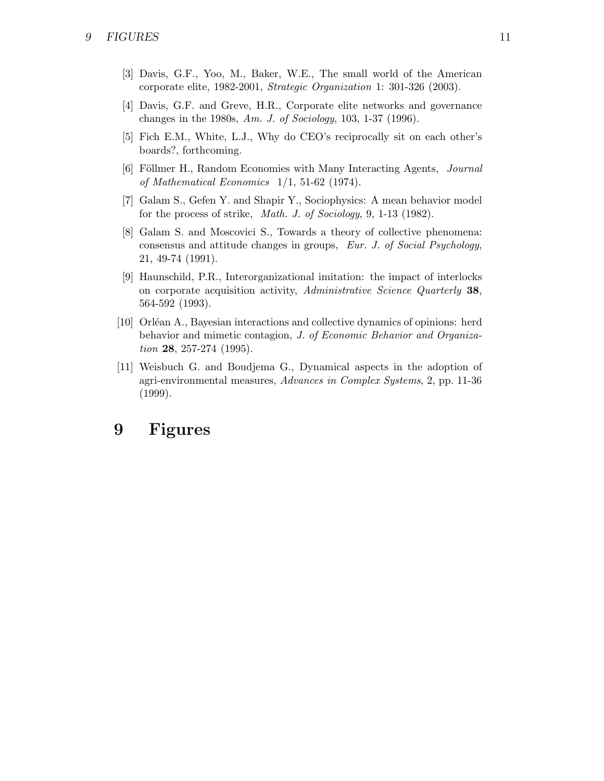- [3] Davis, G.F., Yoo, M., Baker, W.E., The small world of the American corporate elite, 1982-2001, Strategic Organization 1: 301-326 (2003).
- [4] Davis, G.F. and Greve, H.R., Corporate elite networks and governance changes in the 1980s, Am. J. of Sociology, 103, 1-37 (1996).
- [5] Fich E.M., White, L.J., Why do CEO's reciprocally sit on each other's boards?, forthcoming.
- [6] Föllmer H., Random Economies with Many Interacting Agents, *Journal* of Mathematical Economics 1/1, 51-62 (1974).
- [7] Galam S., Gefen Y. and Shapir Y., Sociophysics: A mean behavior model for the process of strike, Math. J. of Sociology, 9, 1-13 (1982).
- [8] Galam S. and Moscovici S., Towards a theory of collective phenomena: consensus and attitude changes in groups, Eur. J. of Social Psychology, 21, 49-74 (1991).
- [9] Haunschild, P.R., Interorganizational imitation: the impact of interlocks on corporate acquisition activity, Administrative Science Quarterly 38, 564-592 (1993).
- [10] Orl´ean A., Bayesian interactions and collective dynamics of opinions: herd behavior and mimetic contagion, J. of Economic Behavior and Organization 28, 257-274 (1995).
- [11] Weisbuch G. and Boudjema G., Dynamical aspects in the adoption of agri-environmental measures, Advances in Complex Systems, 2, pp. 11-36 (1999).

## 9 Figures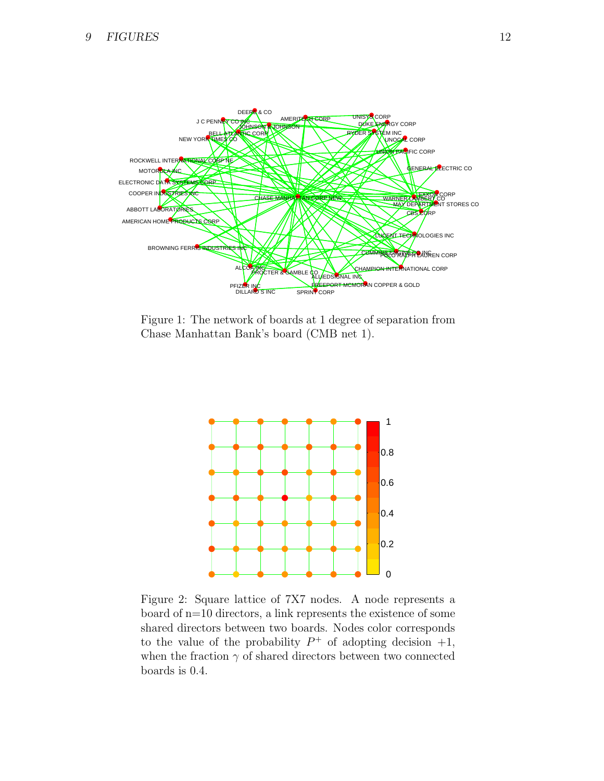

Figure 1: The network of boards at 1 degree of separation from Chase Manhattan Bank's board (CMB net 1).



Figure 2: Square lattice of 7X7 nodes. A node represents a board of n=10 directors, a link represents the existence of some shared directors between two boards. Nodes color corresponds to the value of the probability  $P^+$  of adopting decision  $+1$ , when the fraction  $\gamma$  of shared directors between two connected boards is 0.4.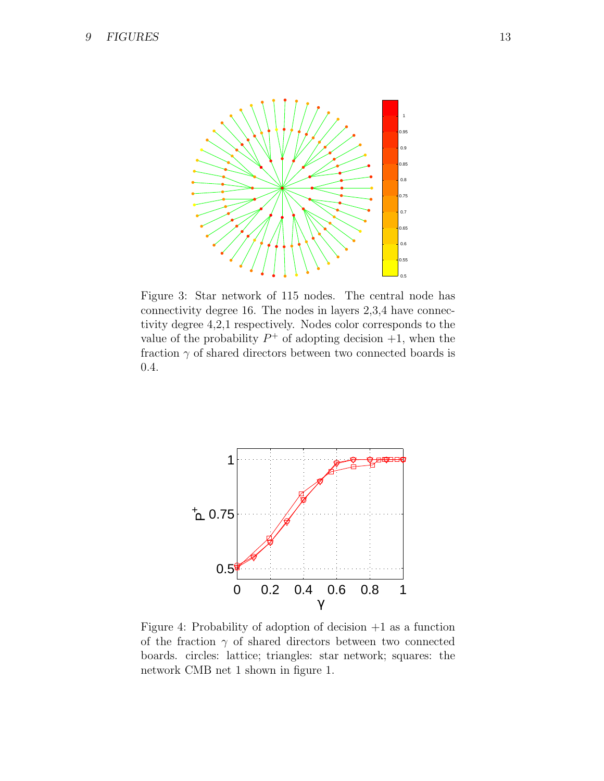

Figure 3: Star network of 115 nodes. The central node has connectivity degree 16. The nodes in layers 2,3,4 have connectivity degree 4,2,1 respectively. Nodes color corresponds to the value of the probability  $P^+$  of adopting decision  $+1$ , when the fraction  $\gamma$  of shared directors between two connected boards is 0.4.



Figure 4: Probability of adoption of decision  $+1$  as a function of the fraction  $\gamma$  of shared directors between two connected boards. circles: lattice; triangles: star network; squares: the network CMB net 1 shown in figure 1.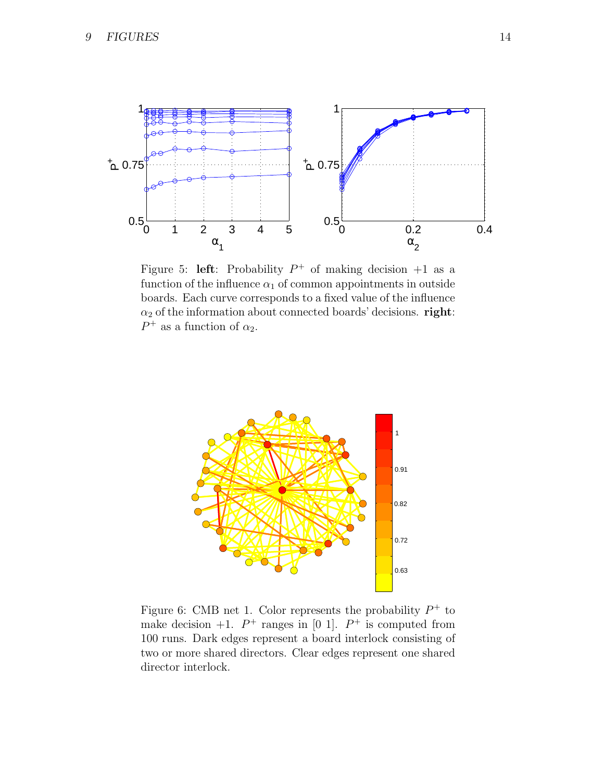

Figure 5: **left**: Probability  $P^+$  of making decision  $+1$  as a function of the influence  $\alpha_1$  of common appointments in outside boards. Each curve corresponds to a fixed value of the influence  $\alpha_2$  of the information about connected boards' decisions. right:  $P^+$  as a function of  $\alpha_2$ .



Figure 6: CMB net 1. Color represents the probability  $P^+$  to make decision  $+1$ .  $P^+$  ranges in [0 1].  $P^+$  is computed from 100 runs. Dark edges represent a board interlock consisting of two or more shared directors. Clear edges represent one shared director interlock.